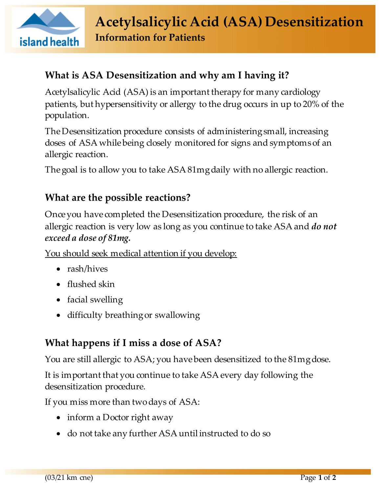

# **What is ASA Desensitization and why am I having it?**

Acetylsalicylic Acid (ASA) is an important therapy for many cardiology patients, but hypersensitivity or allergy to the drug occurs in up to 20% of the population.

The Desensitization procedure consists of administering small, increasing doses of ASA while being closely monitored for signs and symptoms of an allergic reaction.

The goal is to allow you to take ASA 81mg daily with no allergic reaction.

# **What are the possible reactions?**

Once you have completed the Desensitization procedure, the risk of an allergic reaction is very low as long as you continue to take ASA and *do not exceed a dose of 81mg.* 

You should seek medical attention if you develop:

- rash/hives
- flushed skin
- facial swelling
- difficulty breathing or swallowing

# **What happens if I miss a dose of ASA?**

You are still allergic to ASA; you have been desensitized to the 81mg dose.

It is important that you continue to take ASA every day following the desensitization procedure.

If you miss more than two days of ASA:

- inform a Doctor right away
- do not take any further ASA until instructed to do so